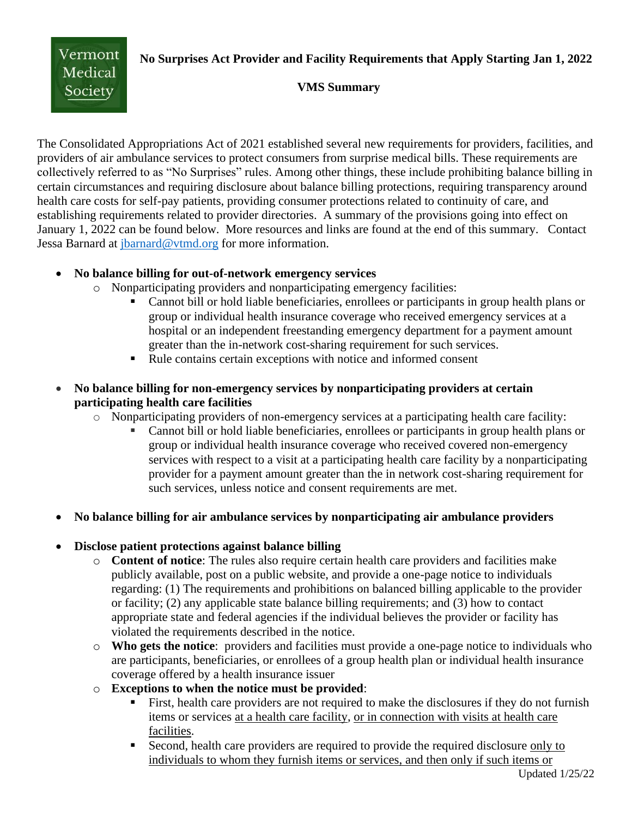**No Surprises Act Provider and Facility Requirements that Apply Starting Jan 1, 2022**



#### **VMS Summary**

The Consolidated Appropriations Act of 2021 established several new requirements for providers, facilities, and providers of air ambulance services to protect consumers from surprise medical bills. These requirements are collectively referred to as "No Surprises" rules. Among other things, these include prohibiting balance billing in certain circumstances and requiring disclosure about balance billing protections, requiring transparency around health care costs for self-pay patients, providing consumer protections related to continuity of care, and establishing requirements related to provider directories. A summary of the provisions going into effect on January 1, 2022 can be found below. More resources and links are found at the end of this summary. Contact Jessa Barnard at [jbarnard@vtmd.org](mailto:jbarnard@vtmd.org) for more information.

#### • **No balance billing for out-of-network emergency services**

- o Nonparticipating providers and nonparticipating emergency facilities:
	- Cannot bill or hold liable beneficiaries, enrollees or participants in group health plans or group or individual health insurance coverage who received emergency services at a hospital or an independent freestanding emergency department for a payment amount greater than the in-network cost-sharing requirement for such services.
	- Rule contains certain exceptions with notice and informed consent
- **No balance billing for non-emergency services by nonparticipating providers at certain participating health care facilities** 
	- o Nonparticipating providers of non-emergency services at a participating health care facility:
		- Cannot bill or hold liable beneficiaries, enrollees or participants in group health plans or group or individual health insurance coverage who received covered non-emergency services with respect to a visit at a participating health care facility by a nonparticipating provider for a payment amount greater than the in network cost-sharing requirement for such services, unless notice and consent requirements are met.
- **No balance billing for air ambulance services by nonparticipating air ambulance providers**

# • **Disclose patient protections against balance billing**

- o **Content of notice**: The rules also require certain health care providers and facilities make publicly available, post on a public website, and provide a one-page notice to individuals regarding: (1) The requirements and prohibitions on balanced billing applicable to the provider or facility; (2) any applicable state balance billing requirements; and (3) how to contact appropriate state and federal agencies if the individual believes the provider or facility has violated the requirements described in the notice.
- o **Who gets the notice**: providers and facilities must provide a one-page notice to individuals who are participants, beneficiaries, or enrollees of a group health plan or individual health insurance coverage offered by a health insurance issuer
- o **Exceptions to when the notice must be provided**:
	- **Example 1** First, health care providers are not required to make the disclosures if they do not furnish items or services at a health care facility, or in connection with visits at health care facilities.
	- Second, health care providers are required to provide the required disclosure only to individuals to whom they furnish items or services, and then only if such items or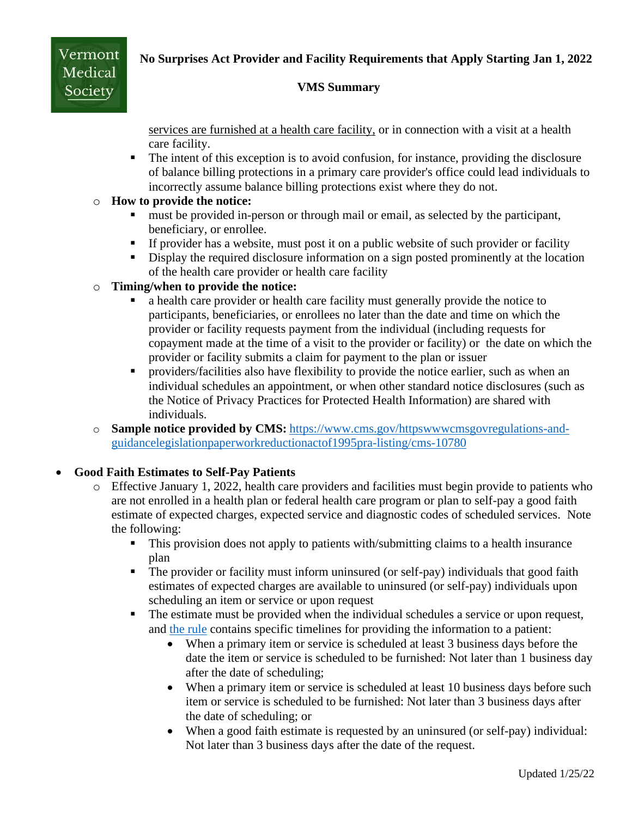# **No Surprises Act Provider and Facility Requirements that Apply Starting Jan 1, 2022**



#### **VMS Summary**

services are furnished at a health care facility, or in connection with a visit at a health care facility.

■ The intent of this exception is to avoid confusion, for instance, providing the disclosure of balance billing protections in a primary care provider's office could lead individuals to incorrectly assume balance billing protections exist where they do not.

#### o **How to provide the notice:**

- must be provided in-person or through mail or email, as selected by the participant, beneficiary, or enrollee.
- **If provider has a website, must post it on a public website of such provider or facility**
- Display the required disclosure information on a sign posted prominently at the location of the health care provider or health care facility

# o **Timing/when to provide the notice:**

- a health care provider or health care facility must generally provide the notice to participants, beneficiaries, or enrollees no later than the date and time on which the provider or facility requests payment from the individual (including requests for copayment made at the time of a visit to the provider or facility) or the date on which the provider or facility submits a claim for payment to the plan or issuer
- **•** providers/facilities also have flexibility to provide the notice earlier, such as when an individual schedules an appointment, or when other standard notice disclosures (such as the Notice of Privacy Practices for Protected Health Information) are shared with individuals.
- o **Sample notice provided by CMS:** [https://www.cms.gov/httpswwwcmsgovregulations-and](https://www.cms.gov/httpswwwcmsgovregulations-and-guidancelegislationpaperworkreductionactof1995pra-listing/cms-10780)[guidancelegislationpaperworkreductionactof1995pra-listing/cms-10780](https://www.cms.gov/httpswwwcmsgovregulations-and-guidancelegislationpaperworkreductionactof1995pra-listing/cms-10780)

# • **Good Faith Estimates to Self-Pay Patients**

- o Effective January 1, 2022, health care providers and facilities must begin provide to patients who are not enrolled in a health plan or federal health care program or plan to self-pay a good faith estimate of expected charges, expected service and diagnostic codes of scheduled services. Note the following:
	- This provision does not apply to patients with/submitting claims to a health insurance plan
	- **•** The provider or facility must inform uninsured (or self-pay) individuals that good faith estimates of expected charges are available to uninsured (or self-pay) individuals upon scheduling an item or service or upon request
	- **•** The estimate must be provided when the individual schedules a service or upon request, and [the rule](https://www.federalregister.gov/documents/2021/10/07/2021-21441/requirements-related-to-surprise-billing-part-ii) contains specific timelines for providing the information to a patient:
		- When a primary item or service is scheduled at least 3 business days before the date the item or service is scheduled to be furnished: Not later than 1 business day after the date of scheduling;
		- When a primary item or service is scheduled at least 10 business days before such item or service is scheduled to be furnished: Not later than 3 business days after the date of scheduling; or
		- When a good faith estimate is requested by an uninsured (or self-pay) individual: Not later than 3 business days after the date of the request.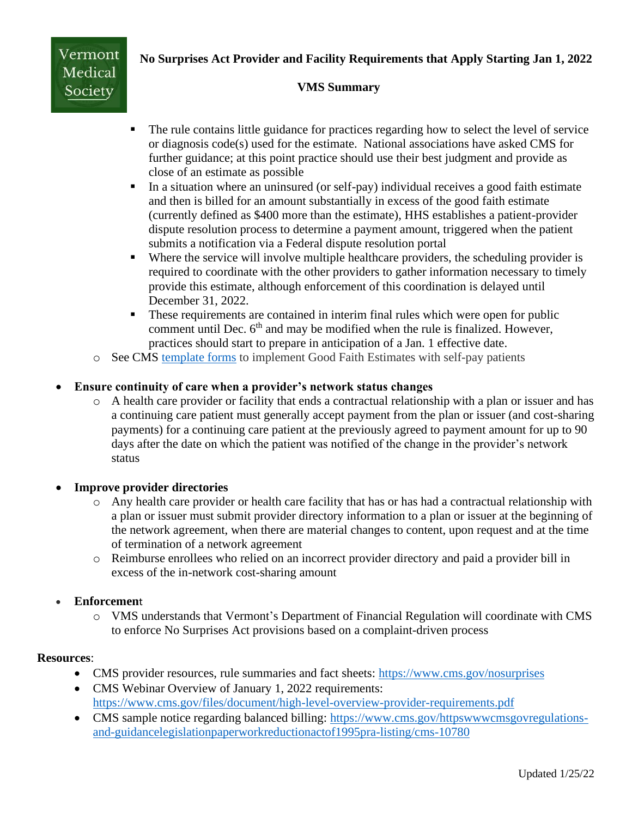# **No Surprises Act Provider and Facility Requirements that Apply Starting Jan 1, 2022**



#### **VMS Summary**

- The rule contains little guidance for practices regarding how to select the level of service or diagnosis  $code(s)$  used for the estimate. National associations have asked CMS for further guidance; at this point practice should use their best judgment and provide as close of an estimate as possible
- In a situation where an uninsured (or self-pay) individual receives a good faith estimate and then is billed for an amount substantially in excess of the good faith estimate (currently defined as \$400 more than the estimate), HHS establishes a patient-provider dispute resolution process to determine a payment amount, triggered when the patient submits a notification via a Federal dispute resolution portal
- Where the service will involve multiple healthcare providers, the scheduling provider is required to coordinate with the other providers to gather information necessary to timely provide this estimate, although enforcement of this coordination is delayed until December 31, 2022.
- **These requirements are contained in interim final rules which were open for public** comment until Dec.  $6<sup>th</sup>$  and may be modified when the rule is finalized. However, practices should start to prepare in anticipation of a Jan. 1 effective date.
- o See CMS [template forms](https://www.cms.gov/regulations-and-guidancelegislationpaperworkreductionactof1995pra-listing/cms-10791) to implement Good Faith Estimates with self-pay patients

#### • **Ensure continuity of care when a provider's network status changes**

o A health care provider or facility that ends a contractual relationship with a plan or issuer and has a continuing care patient must generally accept payment from the plan or issuer (and cost-sharing payments) for a continuing care patient at the previously agreed to payment amount for up to 90 days after the date on which the patient was notified of the change in the provider's network status

#### • **Improve provider directories**

- o Any health care provider or health care facility that has or has had a contractual relationship with a plan or issuer must submit provider directory information to a plan or issuer at the beginning of the network agreement, when there are material changes to content, upon request and at the time of termination of a network agreement
- o Reimburse enrollees who relied on an incorrect provider directory and paid a provider bill in excess of the in-network cost-sharing amount

#### • **Enforcemen**t

o VMS understands that Vermont's Department of Financial Regulation will coordinate with CMS to enforce No Surprises Act provisions based on a complaint-driven process

#### **Resources**:

- CMS provider resources, rule summaries and fact sheets:<https://www.cms.gov/nosurprises>
- CMS Webinar Overview of January 1, 2022 requirements: <https://www.cms.gov/files/document/high-level-overview-provider-requirements.pdf>
- CMS sample notice regarding balanced billing: [https://www.cms.gov/httpswwwcmsgovregulations](https://www.cms.gov/httpswwwcmsgovregulations-and-guidancelegislationpaperworkreductionactof1995pra-listing/cms-10780)[and-guidancelegislationpaperworkreductionactof1995pra-listing/cms-10780](https://www.cms.gov/httpswwwcmsgovregulations-and-guidancelegislationpaperworkreductionactof1995pra-listing/cms-10780)